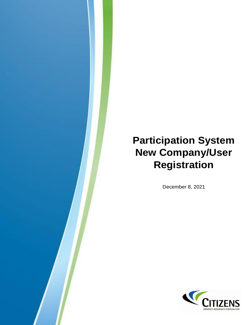# **Participation System New Company/User Registration**

December 8, 2021

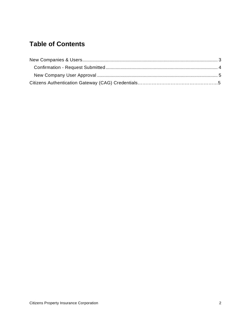## **Table of Contents**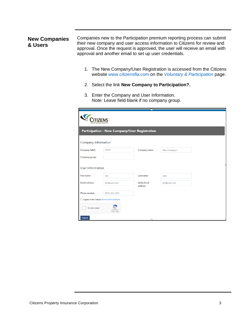#### <span id="page-2-1"></span><span id="page-2-0"></span>**[New Companies](#page-4-3) [& Users](#page-4-3)**

[Companies new to the Participation pre](#page-4-3)mium reporting process can submit their new company and user access information to Citizens for review and approval. Once the request is approved, the user will receive an email with approval and another email to set up user credentials.

- 1. The New Company/User Registration is accessed from the Citizens website [www.citizensfla.com](http://www.citizensfla.com/) on the *[Voluntary & Participation](https://www.citizensfla.com/participation-information)* page.
- 2. Select the link **New Company to Participation?.**
- 3. Enter the Company and User Information. *Note:* Leave field blank if no company group.

| Participation - New Company/User Registration        |                              |                                 |              |  |  |  |
|------------------------------------------------------|------------------------------|---------------------------------|--------------|--|--|--|
| <b>Company Information</b>                           |                              |                                 |              |  |  |  |
| <b>Company NAIC:</b>                                 | 21212                        | Company name:                   | New Company1 |  |  |  |
| Company group:                                       |                              |                                 |              |  |  |  |
| <b>User Information</b>                              |                              |                                 |              |  |  |  |
| First name:                                          | <b>Jim</b>                   | Last name:                      | User         |  |  |  |
| Email address:                                       | jim@user.com                 | <b>Verify Email</b><br>address: | jim@user.com |  |  |  |
| Phone number:                                        | (555) 222-2222               |                                 |              |  |  |  |
| $\Box$ I agree to the Citizens Terms and Conditions. |                              |                                 |              |  |  |  |
| I'm not a robot                                      | reCAPTCHA<br>Privacy - Terms |                                 |              |  |  |  |
| Submit                                               |                              |                                 |              |  |  |  |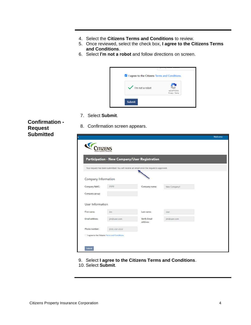- 4. Select the **Citizens Terms and Conditions** to review.
- 5. Once reviewed, select the check box, **I agree to the Citizens Terms and Conditions**.
- 6. Select **I'm not a robot** and follow directions on screen.



7. Select **Submit**.

<span id="page-3-0"></span>**Confirmation - Request Submitted**

8. Confirmation screen appears.

<span id="page-3-1"></span>

|                           |                                                                                          |                                 |              | Welcome |  |
|---------------------------|------------------------------------------------------------------------------------------|---------------------------------|--------------|---------|--|
| ROPERTY INSURANCE CORPORA |                                                                                          |                                 |              |         |  |
|                           | Participation - New Company/User Registration                                            |                                 |              |         |  |
|                           | Your request has been submitted. You will receive an email once the request is approved. |                                 |              |         |  |
| Company Information       |                                                                                          |                                 |              |         |  |
| Company NAIC:             | 21212                                                                                    | Company name:                   | New Company1 |         |  |
| Company group:            |                                                                                          |                                 |              |         |  |
| User Information          |                                                                                          |                                 |              |         |  |
| First name:               | <b>Jim</b>                                                                               | Last name:                      | User         |         |  |
| Email address:            | jim@user.com                                                                             | <b>Verify Email</b><br>address: | jim@user.com |         |  |
| Phone number:             | (555) 222-2222                                                                           |                                 |              |         |  |
|                           | I agree to the Citizens Terms and Conditions.                                            |                                 |              |         |  |
|                           |                                                                                          |                                 |              |         |  |
| Submit                    |                                                                                          |                                 |              |         |  |

- 9. Select **I agree to the Citizens Terms and Conditions**.
- 10. Select **Submit**.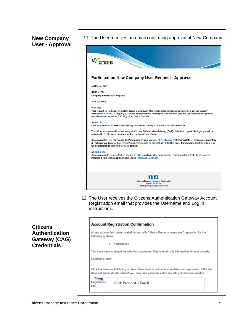### <span id="page-4-0"></span>**New Company User - Approval**

11. The User receives an email confirming approval of New Company.

<span id="page-4-2"></span>

12. The User receives the Citizens Authentication Gateway Account Registration email that provides the Username and Log In instructions.

<span id="page-4-1"></span>**Citizens Authentication Gateway (CAG) Credentials**

#### **Account Registration Confirmation**

<span id="page-4-3"></span>A new account has been created for you with Citizens Property Insurance Corporation for the following systems:

· Participation

You have been assigned the following username. Please retain this information for your records.

Username: juser

Click the following link to log in, then follow the instructions to complete your registration. If the link does not automatically redirect you, copy and paste the entire link into your browser window.



link:

<Link Provided in Email>